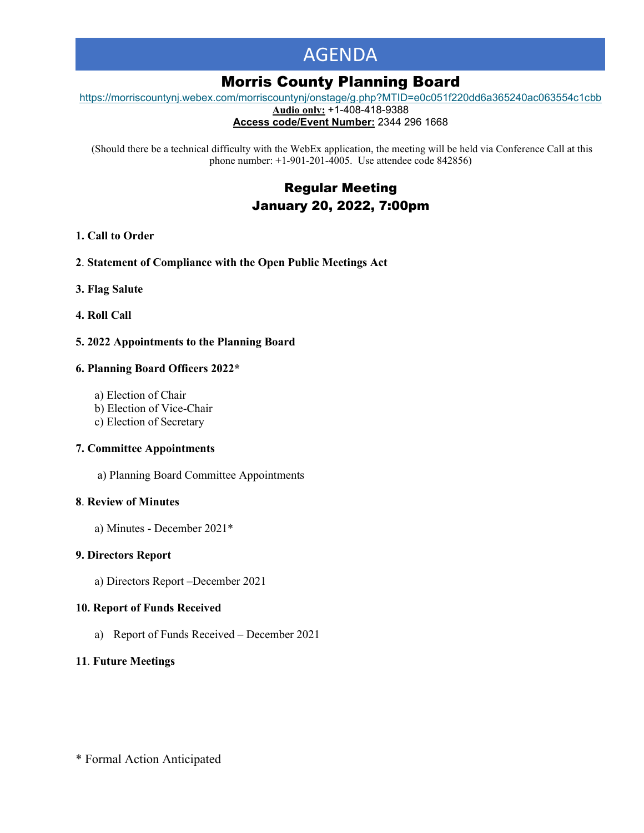# AGENDA

# Morris County Planning Board

[https://morriscountynj.webex.com/morriscountynj/onstage/g.php?MTID=e0c051f220dd6a365240ac063554c1cbb](https://gcc02.safelinks.protection.outlook.com/?url=https%3A%2F%2Fmorriscountynj.webex.com%2Fmorriscountynj%2Fonstage%2Fg.php%3FMTID%3De0c051f220dd6a365240ac063554c1cbb&data=04%7C01%7Cvmichelin%40co.morris.nj.us%7Caf422b3a74234fcbc9aa08d9d09229f6%7Cec2ce8c138394008b949e2b17cfa906d%7C0%7C0%7C637770148465215165%7CUnknown%7CTWFpbGZsb3d8eyJWIjoiMC4wLjAwMDAiLCJQIjoiV2luMzIiLCJBTiI6Ik1haWwiLCJXVCI6Mn0%3D%7C3000&sdata=hHFbP99ExlHr4ba2lv4MugIJW357YCfvueu0fGm9KsY%3D&reserved=0)

**Audio only:** +1-408-418-9388

**Access code/Event Number:** 2344 296 1668

(Should there be a technical difficulty with the WebEx application, the meeting will be held via Conference Call at this phone number: +1-901-201-4005. Use attendee code 842856)

> Regular Meeting January 20, 2022, 7:00pm

# **1. Call to Order**

- **2**. **Statement of Compliance with the Open Public Meetings Act**
- **3. Flag Salute**
- **4. Roll Call**

# **5. 2022 Appointments to the Planning Board**

#### **6. Planning Board Officers 2022\***

- a) Election of Chair
- b) Election of Vice-Chair
- c) Election of Secretary

#### **7. Committee Appointments**

a) Planning Board Committee Appointments

#### **8**. **Review of Minutes**

a) Minutes - December 2021\*

# **9. Directors Report**

a) Directors Report –December 2021

#### **10. Report of Funds Received**

a) Report of Funds Received – December 2021

# **11**. **Future Meetings**

\* Formal Action Anticipated